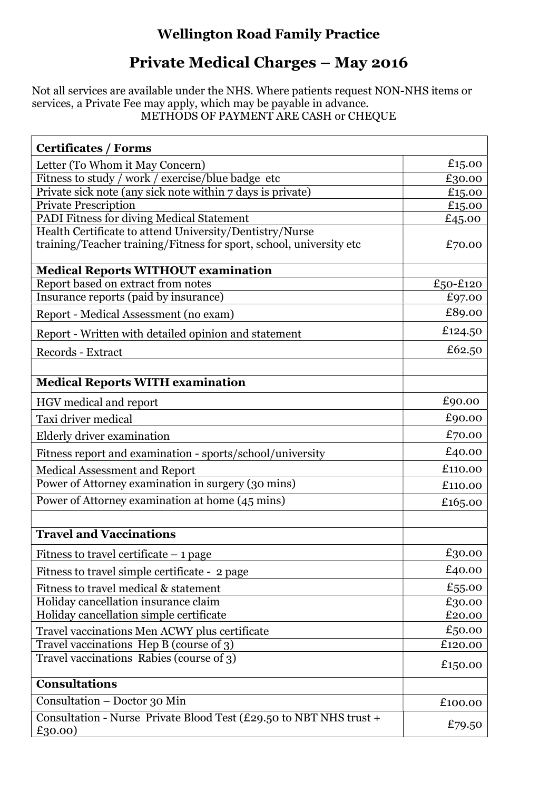## Wellington Road Family Practice

## Private Medical Charges – May 2016

Not all services are available under the NHS. Where patients request NON-NHS items or services, a Private Fee may apply, which may be payable in advance. METHODS OF PAYMENT ARE CASH or CHEQUE

| <b>Certificates / Forms</b>                                                                                                    |          |
|--------------------------------------------------------------------------------------------------------------------------------|----------|
| Letter (To Whom it May Concern)                                                                                                | £15.00   |
| Fitness to study / work / exercise/blue badge etc                                                                              | £30.00   |
| Private sick note (any sick note within 7 days is private)                                                                     | £15.00   |
| <b>Private Prescription</b>                                                                                                    | £15.00   |
| PADI Fitness for diving Medical Statement                                                                                      | £45.00   |
| Health Certificate to attend University/Dentistry/Nurse<br>training/Teacher training/Fitness for sport, school, university etc | £70.00   |
| <b>Medical Reports WITHOUT examination</b>                                                                                     |          |
| Report based on extract from notes                                                                                             | £50-£120 |
| Insurance reports (paid by insurance)                                                                                          | £97.00   |
| Report - Medical Assessment (no exam)                                                                                          | £89.00   |
| Report - Written with detailed opinion and statement                                                                           | £124.50  |
| Records - Extract                                                                                                              | £62.50   |
|                                                                                                                                |          |
| <b>Medical Reports WITH examination</b>                                                                                        |          |
| HGV medical and report                                                                                                         | £90.00   |
| Taxi driver medical                                                                                                            | £90.00   |
| Elderly driver examination                                                                                                     | £70.00   |
| Fitness report and examination - sports/school/university                                                                      | £40.00   |
| Medical Assessment and Report                                                                                                  | £110.00  |
| Power of Attorney examination in surgery (30 mins)                                                                             | £110.00  |
| Power of Attorney examination at home (45 mins)                                                                                | £165.00  |
|                                                                                                                                |          |
| <b>Travel and Vaccinations</b>                                                                                                 |          |
| Fitness to travel certificate $-1$ page                                                                                        | £30.00   |
| Fitness to travel simple certificate - 2 page                                                                                  | £40.00   |
| Fitness to travel medical & statement                                                                                          | £55.00   |
| Holiday cancellation insurance claim                                                                                           | £30.00   |
| Holiday cancellation simple certificate                                                                                        | £20.00   |
| Travel vaccinations Men ACWY plus certificate                                                                                  | £50.00   |
| Travel vaccinations Hep B (course of 3)                                                                                        | £120.00  |
| Travel vaccinations Rabies (course of 3)                                                                                       | £150.00  |
| <b>Consultations</b>                                                                                                           |          |
| Consultation - Doctor 30 Min                                                                                                   | £100.00  |
| Consultation - Nurse Private Blood Test (£29.50 to NBT NHS trust +<br>£30.00)                                                  | £79.50   |